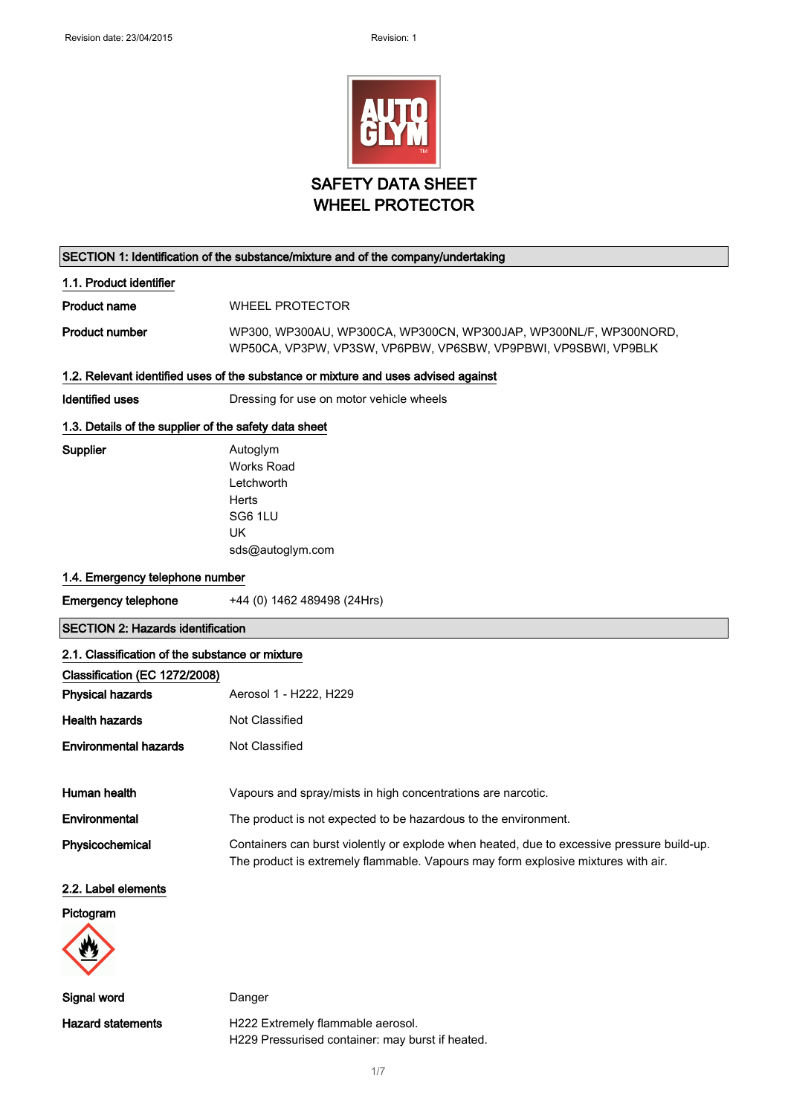

#### SECTION 1: Identification of the substance/mixture and of the company/undertaking

#### 1.1. Product identifier

Product name WHEEL PROTECTOR

Product number WP300, WP300AU, WP300CA, WP300CN, WP300JAP, WP300NL/F, WP300NORD, WP50CA, VP3PW, VP3SW, VP6PBW, VP6SBW, VP9PBWI, VP9SBWI, VP9BLK

#### 1.2. Relevant identified uses of the substance or mixture and uses advised against

Identified uses **Dressing for use on motor vehicle wheels** 

### 1.3. Details of the supplier of the safety data sheet

Supplier **Autoglym** Works Road Letchworth **Herts** SG6 1LU UK sds@autoglym.com

#### 1.4. Emergency telephone number

Emergency telephone +44 (0) 1462 489498 (24Hrs)

#### SECTION 2: Hazards identification

| 2.1. Classification of the substance or mixture |                                                                                                                                                                                 |  |
|-------------------------------------------------|---------------------------------------------------------------------------------------------------------------------------------------------------------------------------------|--|
| Classification (EC 1272/2008)                   |                                                                                                                                                                                 |  |
| <b>Physical hazards</b>                         | Aerosol 1 - H222, H229                                                                                                                                                          |  |
| <b>Health hazards</b>                           | Not Classified                                                                                                                                                                  |  |
| <b>Environmental hazards</b>                    | Not Classified                                                                                                                                                                  |  |
| Human health                                    | Vapours and spray/mists in high concentrations are narcotic.                                                                                                                    |  |
| Environmental                                   | The product is not expected to be hazardous to the environment.                                                                                                                 |  |
| Physicochemical                                 | Containers can burst violently or explode when heated, due to excessive pressure build-up.<br>The product is extremely flammable. Vapours may form explosive mixtures with air. |  |
| 2.2. Label elements                             |                                                                                                                                                                                 |  |
| Pictogram                                       |                                                                                                                                                                                 |  |
|                                                 |                                                                                                                                                                                 |  |

Signal word Danger

Hazard statements **H222** Extremely flammable aerosol. H229 Pressurised container: may burst if heated.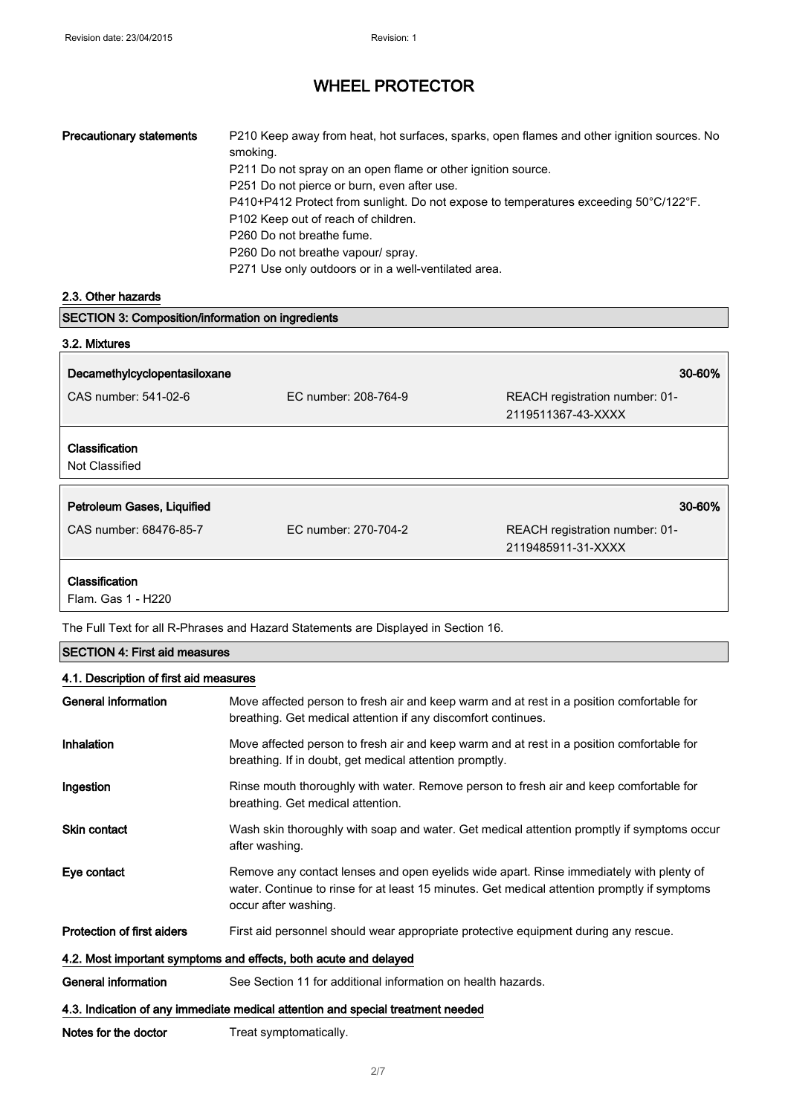| <b>Precautionary statements</b> | P210 Keep away from heat, hot surfaces, sparks, open flames and other ignition sources. No<br>smoking. |
|---------------------------------|--------------------------------------------------------------------------------------------------------|
|                                 | P211 Do not spray on an open flame or other ignition source.                                           |
|                                 | P251 Do not pierce or burn, even after use.                                                            |
|                                 | P410+P412 Protect from sunlight. Do not expose to temperatures exceeding 50°C/122°F.                   |
|                                 | P102 Keep out of reach of children.                                                                    |
|                                 | P260 Do not breathe fume.                                                                              |
|                                 | P260 Do not breathe vapour/ spray.                                                                     |
|                                 | P271 Use only outdoors or in a well-ventilated area.                                                   |

### 2.3. Other hazards

| <b>SECTION 3: Composition/information on ingredients</b> |                      |                                                      |
|----------------------------------------------------------|----------------------|------------------------------------------------------|
| 3.2. Mixtures                                            |                      |                                                      |
| Decamethylcyclopentasiloxane                             |                      | 30-60%                                               |
| CAS number: 541-02-6                                     | EC number: 208-764-9 | REACH registration number: 01-<br>2119511367-43-XXXX |
| Classification<br>Not Classified                         |                      |                                                      |
| Petroleum Gases, Liquified                               |                      | 30-60%                                               |
| CAS number: 68476-85-7                                   | EC number: 270-704-2 | REACH registration number: 01-<br>2119485911-31-XXXX |
| Classification                                           |                      |                                                      |

Flam. Gas 1 - H220

The Full Text for all R-Phrases and Hazard Statements are Displayed in Section 16.

### SECTION 4: First aid measures

### 4.1. Description of first aid measures

| General information                                                             | Move affected person to fresh air and keep warm and at rest in a position comfortable for<br>breathing. Get medical attention if any discomfort continues.                                                      |  |
|---------------------------------------------------------------------------------|-----------------------------------------------------------------------------------------------------------------------------------------------------------------------------------------------------------------|--|
| Inhalation                                                                      | Move affected person to fresh air and keep warm and at rest in a position comfortable for<br>breathing. If in doubt, get medical attention promptly.                                                            |  |
| Ingestion                                                                       | Rinse mouth thoroughly with water. Remove person to fresh air and keep comfortable for<br>breathing. Get medical attention.                                                                                     |  |
| <b>Skin contact</b>                                                             | Wash skin thoroughly with soap and water. Get medical attention promptly if symptoms occur<br>after washing.                                                                                                    |  |
| Eye contact                                                                     | Remove any contact lenses and open eyelids wide apart. Rinse immediately with plenty of<br>water. Continue to rinse for at least 15 minutes. Get medical attention promptly if symptoms<br>occur after washing. |  |
| <b>Protection of first aiders</b>                                               | First aid personnel should wear appropriate protective equipment during any rescue.                                                                                                                             |  |
| 4.2. Most important symptoms and effects, both acute and delayed                |                                                                                                                                                                                                                 |  |
| General information                                                             | See Section 11 for additional information on health hazards.                                                                                                                                                    |  |
| 4.3. Indication of any immediate medical attention and special treatment needed |                                                                                                                                                                                                                 |  |
| Notes for the doctor                                                            | Treat symptomatically.                                                                                                                                                                                          |  |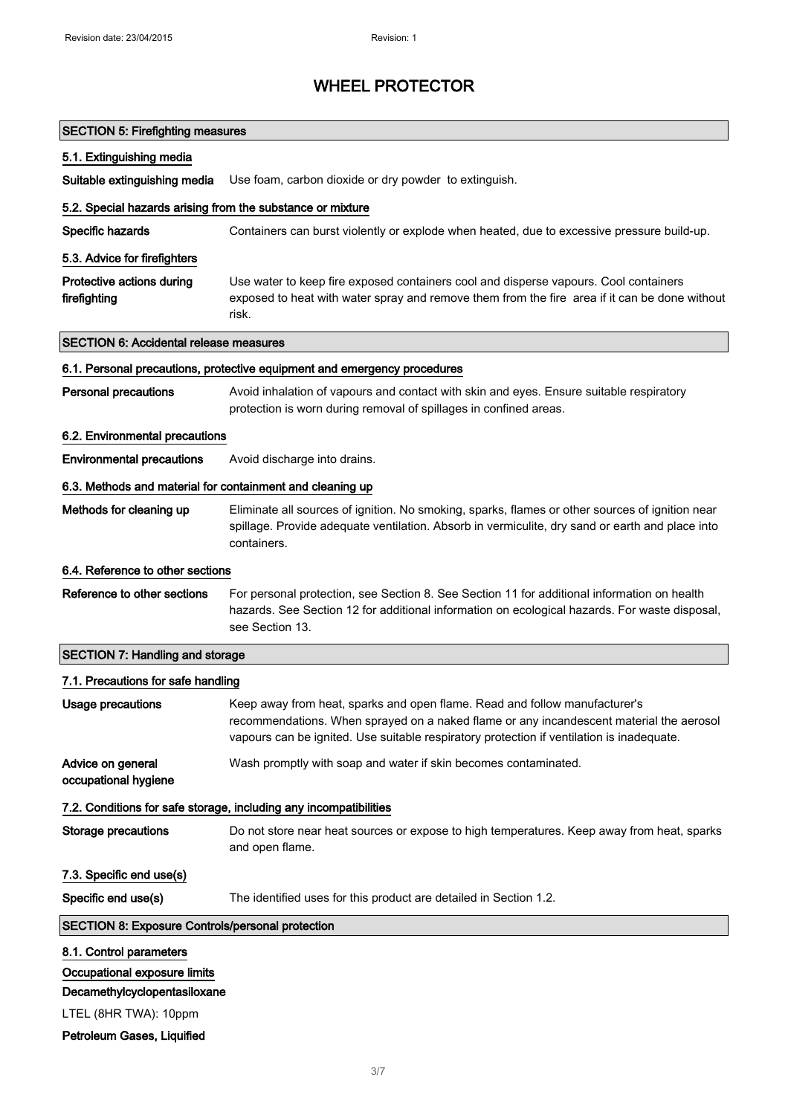| <b>SECTION 5: Firefighting measures</b>                                                                                                        |                                                                                                                                                                                                                                                                    |
|------------------------------------------------------------------------------------------------------------------------------------------------|--------------------------------------------------------------------------------------------------------------------------------------------------------------------------------------------------------------------------------------------------------------------|
| 5.1. Extinguishing media                                                                                                                       |                                                                                                                                                                                                                                                                    |
| Suitable extinguishing media                                                                                                                   | Use foam, carbon dioxide or dry powder to extinguish.                                                                                                                                                                                                              |
| 5.2. Special hazards arising from the substance or mixture                                                                                     |                                                                                                                                                                                                                                                                    |
| Specific hazards                                                                                                                               | Containers can burst violently or explode when heated, due to excessive pressure build-up.                                                                                                                                                                         |
| 5.3. Advice for firefighters                                                                                                                   |                                                                                                                                                                                                                                                                    |
| Protective actions during<br>firefighting                                                                                                      | Use water to keep fire exposed containers cool and disperse vapours. Cool containers<br>exposed to heat with water spray and remove them from the fire area if it can be done without<br>risk.                                                                     |
| <b>SECTION 6: Accidental release measures</b>                                                                                                  |                                                                                                                                                                                                                                                                    |
|                                                                                                                                                | 6.1. Personal precautions, protective equipment and emergency procedures                                                                                                                                                                                           |
| <b>Personal precautions</b>                                                                                                                    | Avoid inhalation of vapours and contact with skin and eyes. Ensure suitable respiratory<br>protection is worn during removal of spillages in confined areas.                                                                                                       |
| 6.2. Environmental precautions                                                                                                                 |                                                                                                                                                                                                                                                                    |
| <b>Environmental precautions</b>                                                                                                               | Avoid discharge into drains.                                                                                                                                                                                                                                       |
| 6.3. Methods and material for containment and cleaning up                                                                                      |                                                                                                                                                                                                                                                                    |
| Methods for cleaning up                                                                                                                        | Eliminate all sources of ignition. No smoking, sparks, flames or other sources of ignition near<br>spillage. Provide adequate ventilation. Absorb in vermiculite, dry sand or earth and place into<br>containers.                                                  |
| 6.4. Reference to other sections                                                                                                               |                                                                                                                                                                                                                                                                    |
| Reference to other sections                                                                                                                    | For personal protection, see Section 8. See Section 11 for additional information on health<br>hazards. See Section 12 for additional information on ecological hazards. For waste disposal,<br>see Section 13.                                                    |
| <b>SECTION 7: Handling and storage</b>                                                                                                         |                                                                                                                                                                                                                                                                    |
| 7.1. Precautions for safe handling                                                                                                             |                                                                                                                                                                                                                                                                    |
| <b>Usage precautions</b>                                                                                                                       | Keep away from heat, sparks and open flame. Read and follow manufacturer's<br>recommendations. When sprayed on a naked flame or any incandescent material the aerosol<br>vapours can be ignited. Use suitable respiratory protection if ventilation is inadequate. |
| Advice on general<br>occupational hygiene                                                                                                      | Wash promptly with soap and water if skin becomes contaminated.                                                                                                                                                                                                    |
|                                                                                                                                                | 7.2. Conditions for safe storage, including any incompatibilities                                                                                                                                                                                                  |
| <b>Storage precautions</b>                                                                                                                     | Do not store near heat sources or expose to high temperatures. Keep away from heat, sparks<br>and open flame.                                                                                                                                                      |
| 7.3. Specific end use(s)                                                                                                                       |                                                                                                                                                                                                                                                                    |
| Specific end use(s)                                                                                                                            | The identified uses for this product are detailed in Section 1.2.                                                                                                                                                                                                  |
| <b>SECTION 8: Exposure Controls/personal protection</b>                                                                                        |                                                                                                                                                                                                                                                                    |
| 8.1. Control parameters<br>Occupational exposure limits<br>Decamethylcyclopentasiloxane<br>LTEL (8HR TWA): 10ppm<br>Petroleum Gases, Liquified |                                                                                                                                                                                                                                                                    |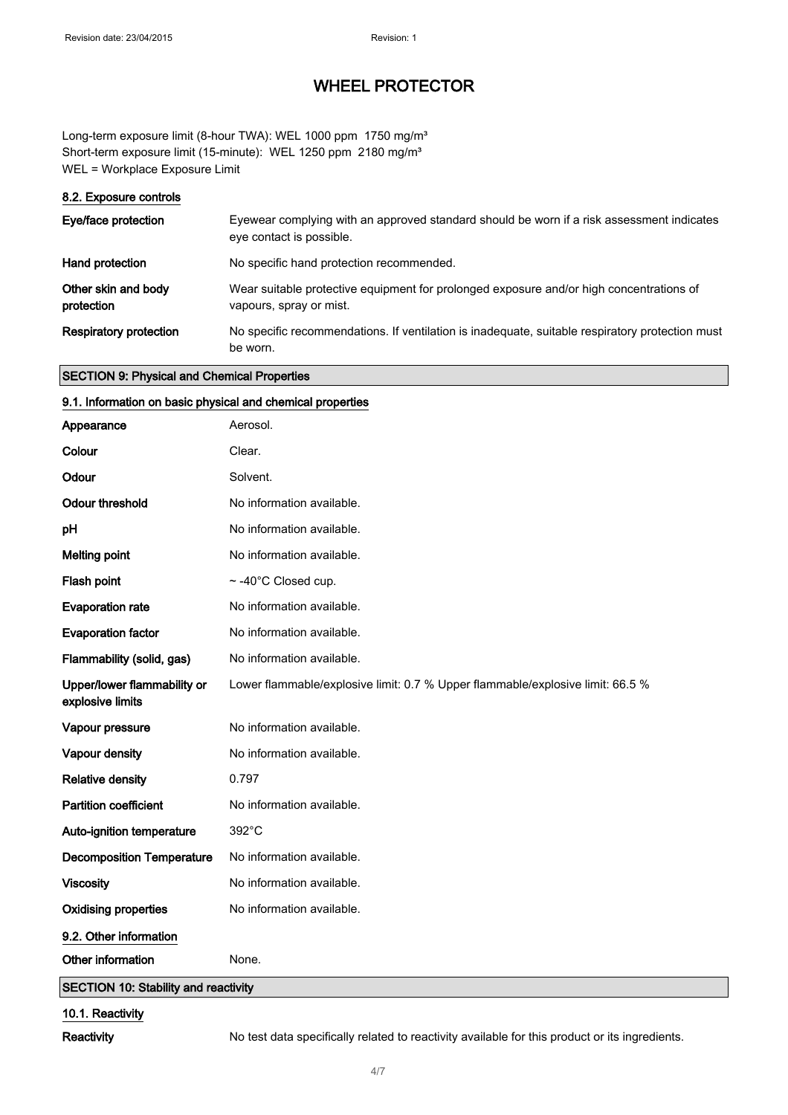Long-term exposure limit (8-hour TWA): WEL 1000 ppm 1750 mg/m<sup>3</sup> Short-term exposure limit (15-minute): WEL 1250 ppm 2180 mg/m<sup>3</sup> WEL = Workplace Exposure Limit

#### 8.2. Exposure controls

| Eye/face protection               | Eyewear complying with an approved standard should be worn if a risk assessment indicates<br>eye contact is possible. |
|-----------------------------------|-----------------------------------------------------------------------------------------------------------------------|
| Hand protection                   | No specific hand protection recommended.                                                                              |
| Other skin and body<br>protection | Wear suitable protective equipment for prolonged exposure and/or high concentrations of<br>vapours, spray or mist.    |
| <b>Respiratory protection</b>     | No specific recommendations. If ventilation is inadequate, suitable respiratory protection must<br>be worn.           |

### SECTION 9: Physical and Chemical Properties

### 9.1. Information on basic physical and chemical properties

| Appearance                                      | Aerosol.                                                                       |
|-------------------------------------------------|--------------------------------------------------------------------------------|
| Colour                                          | Clear.                                                                         |
| Odour                                           | Solvent.                                                                       |
| <b>Odour threshold</b>                          | No information available.                                                      |
| рH                                              | No information available.                                                      |
| <b>Melting point</b>                            | No information available.                                                      |
| Flash point                                     | ~-40°C Closed cup.                                                             |
| <b>Evaporation rate</b>                         | No information available.                                                      |
| <b>Evaporation factor</b>                       | No information available.                                                      |
| Flammability (solid, gas)                       | No information available.                                                      |
| Upper/lower flammability or<br>explosive limits | Lower flammable/explosive limit: 0.7 % Upper flammable/explosive limit: 66.5 % |
| Vapour pressure                                 | No information available.                                                      |
| Vapour density                                  | No information available.                                                      |
| <b>Relative density</b>                         | 0.797                                                                          |
| <b>Partition coefficient</b>                    | No information available.                                                      |
| Auto-ignition temperature                       | 392°C                                                                          |
| <b>Decomposition Temperature</b>                | No information available.                                                      |
| <b>Viscosity</b>                                | No information available.                                                      |
| <b>Oxidising properties</b>                     | No information available.                                                      |
| 9.2. Other information                          |                                                                                |
| Other information                               | None.                                                                          |
| <b>SECTION 10: Stability and reactivity</b>     |                                                                                |
|                                                 |                                                                                |

### 10.1. Reactivity

Reactivity No test data specifically related to reactivity available for this product or its ingredients.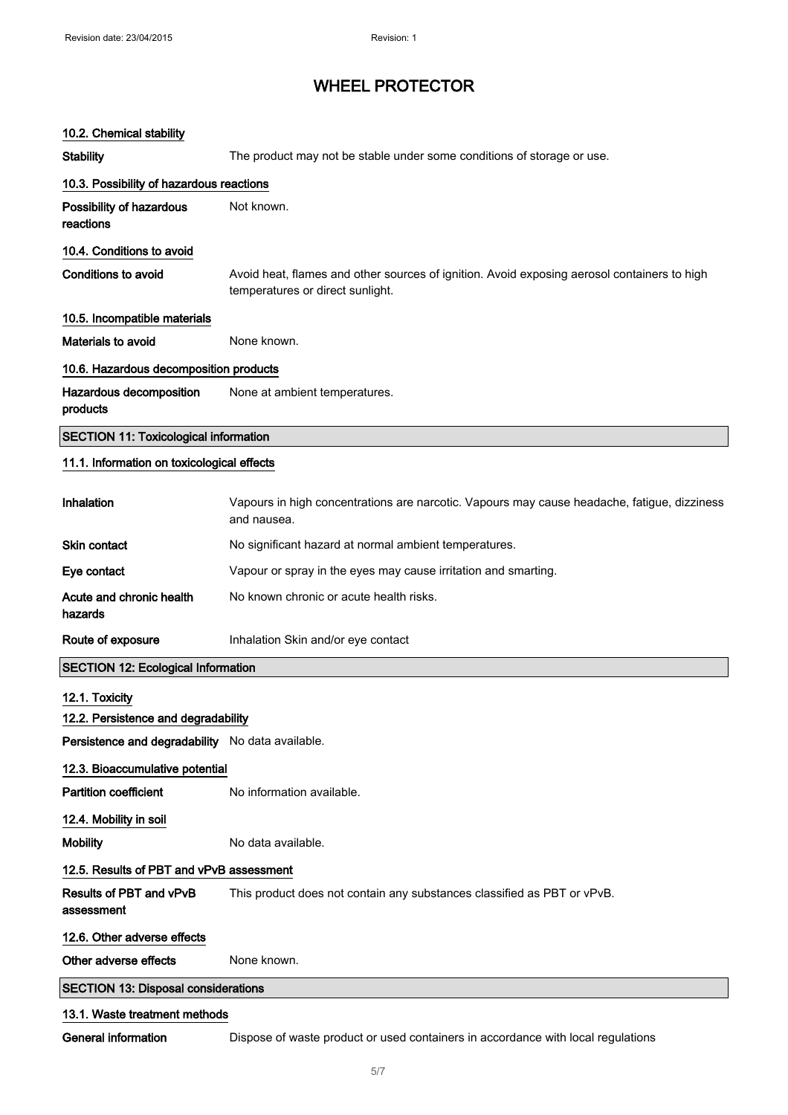10.2. Chemical stability

## WHEEL PROTECTOR

# Stability **The product may not be stable under some conditions of storage or use.** 10.3. Possibility of hazardous reactions Possibility of hazardous reactions Not known. 10.4. Conditions to avoid Conditions to avoid **Avoid heat, flames and other sources of ignition**. Avoid exposing aerosol containers to high temperatures or direct sunlight. 10.5. Incompatible materials Materials to avoid None known. 10.6. Hazardous decomposition products Hazardous decomposition products None at ambient temperatures. SECTION 11: Toxicological information 11.1. Information on toxicological effects Inhalation Vapours in high concentrations are narcotic. Vapours may cause headache, fatigue, dizziness and nausea. Skin contact No significant hazard at normal ambient temperatures. Eye contact Vapour or spray in the eyes may cause irritation and smarting. Acute and chronic health hazards No known chronic or acute health risks. Route of exposure **Inhalation Skin and/or eye contact** SECTION 12: Ecological Information 12.1. Toxicity 12.2. Persistence and degradability Persistence and degradability No data available. 12.3. Bioaccumulative potential **Partition coefficient** No information available. 12.4. Mobility in soil Mobility Mobility No data available. 12.5. Results of PBT and vPvB assessment Results of PBT and vPvB assessment This product does not contain any substances classified as PBT or vPvB. 12.6. Other adverse effects Other adverse effects None known. SECTION 13: Disposal considerations 13.1. Waste treatment methods General information **Dispose of waste product or used containers in accordance with local requiations**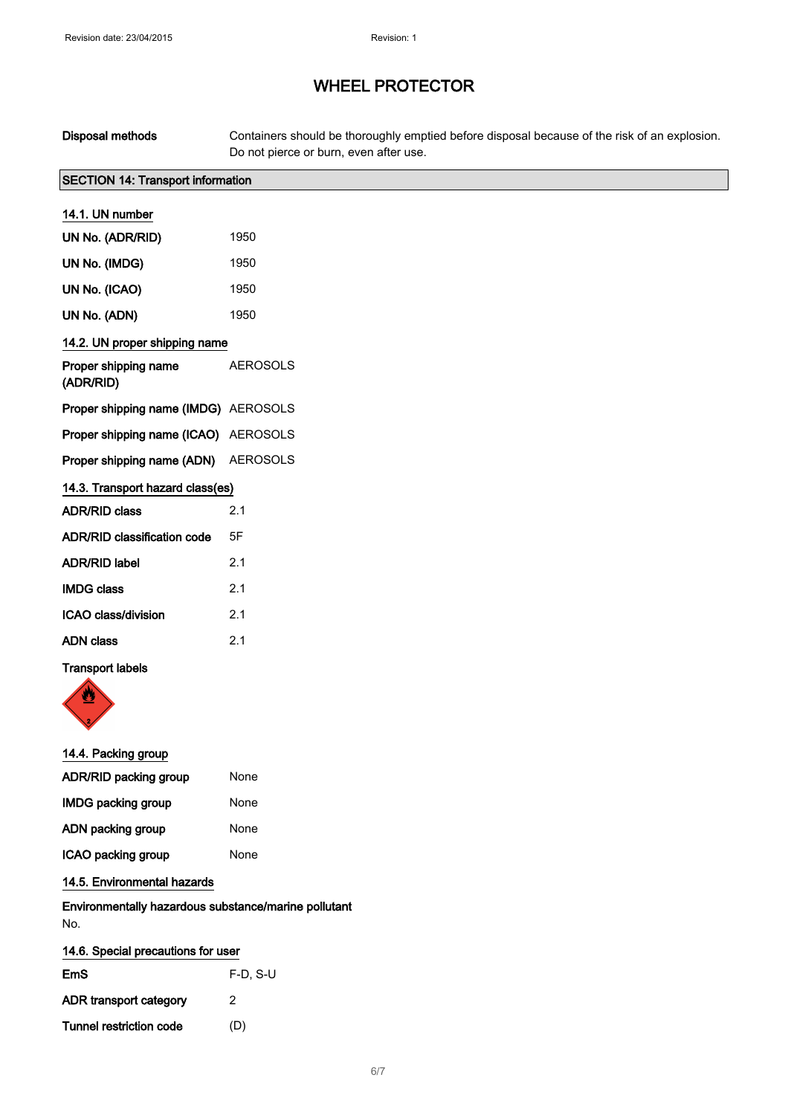| Disposal methods                         | Containers should be thoroughly emptied before disposal because of the risk of an explosion.<br>Do not pierce or burn, even after use. |
|------------------------------------------|----------------------------------------------------------------------------------------------------------------------------------------|
| <b>SECTION 14: Transport information</b> |                                                                                                                                        |
| 14.1. UN number                          |                                                                                                                                        |
| UN No. (ADR/RID)                         | 1950                                                                                                                                   |
| UN No. (IMDG)                            | 1950                                                                                                                                   |
| UN No. (ICAO)                            | 1950                                                                                                                                   |
| UN No. (ADN)                             | 1950                                                                                                                                   |
| 14.2. UN proper shipping name            |                                                                                                                                        |
| Proper shipping name<br>(ADR/RID)        | <b>AEROSOLS</b>                                                                                                                        |
| Proper shipping name (IMDG) AEROSOLS     |                                                                                                                                        |
| Proper shipping name (ICAO) AEROSOLS     |                                                                                                                                        |
| Proper shipping name (ADN) AEROSOLS      |                                                                                                                                        |
| 14.3. Transport hazard class(es)         |                                                                                                                                        |
| <b>ADR/RID class</b>                     | 2.1                                                                                                                                    |
| <b>ADR/RID classification code</b>       | 5F                                                                                                                                     |
| <b>ADR/RID label</b>                     | 2.1                                                                                                                                    |
| <b>IMDG class</b>                        | 2.1                                                                                                                                    |
| ICAO class/division                      | 2.1                                                                                                                                    |
| <b>ADN class</b>                         | 2.1                                                                                                                                    |
| <b>Transport labels</b>                  |                                                                                                                                        |

#### 14.4. Packing group

| <b>ADR/RID packing group</b> | None |
|------------------------------|------|
| <b>IMDG packing group</b>    | None |
| ADN packing group            | None |
| ICAO packing group           | None |

## 14.5. Environmental hazards

### Environmentally hazardous substance/marine pollutant No.

| 14.6. Special precautions for user |            |
|------------------------------------|------------|
| EmS                                | $F-D. S-U$ |
| ADR transport category             | 2          |
| Tunnel restriction code            | (D)        |